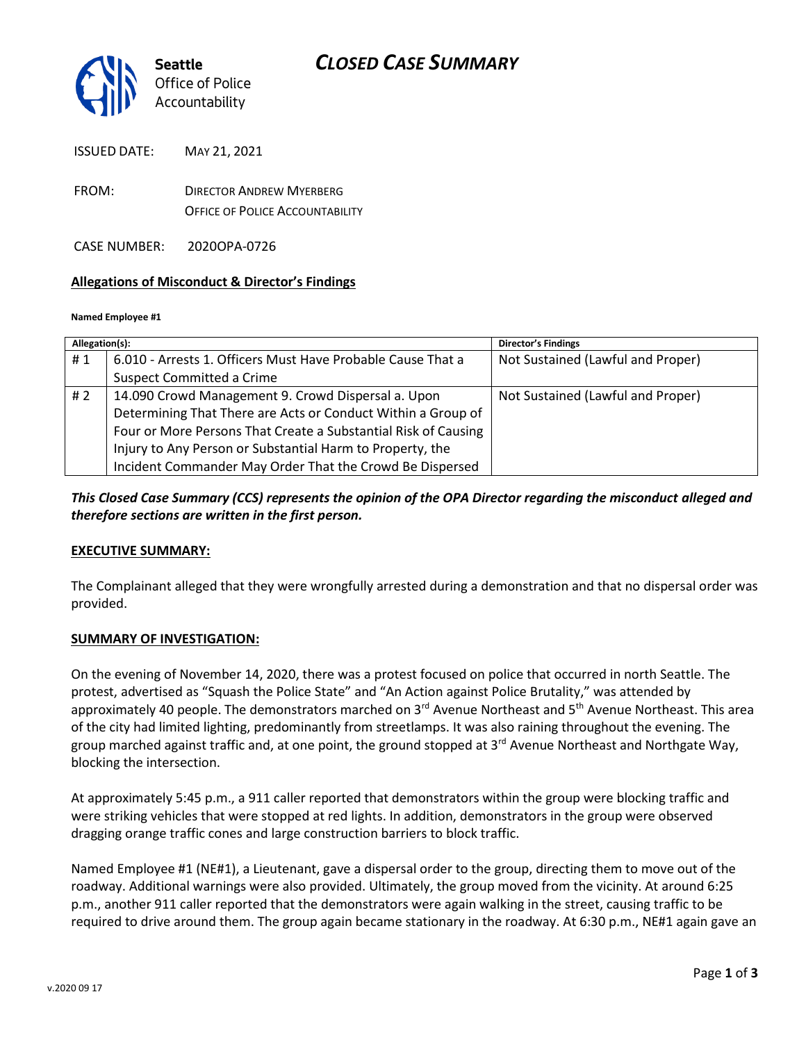

ISSUED DATE: MAY 21, 2021

| ISSUED DATE. | IVIAY ZI. ZUZI                  |
|--------------|---------------------------------|
| FROM:        | <b>DIRECTOR ANDREW MYERBERG</b> |

OFFICE OF POLICE ACCOUNTABILITY

CASE NUMBER: 2020OPA-0726

### **Allegations of Misconduct & Director's Findings**

#### **Named Employee #1**

| Allegation(s): |                                                                | <b>Director's Findings</b>        |
|----------------|----------------------------------------------------------------|-----------------------------------|
| #1             | 6.010 - Arrests 1. Officers Must Have Probable Cause That a    | Not Sustained (Lawful and Proper) |
|                | <b>Suspect Committed a Crime</b>                               |                                   |
| # 2            | 14.090 Crowd Management 9. Crowd Dispersal a. Upon             | Not Sustained (Lawful and Proper) |
|                | Determining That There are Acts or Conduct Within a Group of   |                                   |
|                | Four or More Persons That Create a Substantial Risk of Causing |                                   |
|                | Injury to Any Person or Substantial Harm to Property, the      |                                   |
|                | Incident Commander May Order That the Crowd Be Dispersed       |                                   |

### *This Closed Case Summary (CCS) represents the opinion of the OPA Director regarding the misconduct alleged and therefore sections are written in the first person.*

### **EXECUTIVE SUMMARY:**

The Complainant alleged that they were wrongfully arrested during a demonstration and that no dispersal order was provided.

### **SUMMARY OF INVESTIGATION:**

On the evening of November 14, 2020, there was a protest focused on police that occurred in north Seattle. The protest, advertised as "Squash the Police State" and "An Action against Police Brutality," was attended by approximately 40 people. The demonstrators marched on 3<sup>rd</sup> Avenue Northeast and 5<sup>th</sup> Avenue Northeast. This area of the city had limited lighting, predominantly from streetlamps. It was also raining throughout the evening. The group marched against traffic and, at one point, the ground stopped at 3<sup>rd</sup> Avenue Northeast and Northgate Way, blocking the intersection.

At approximately 5:45 p.m., a 911 caller reported that demonstrators within the group were blocking traffic and were striking vehicles that were stopped at red lights. In addition, demonstrators in the group were observed dragging orange traffic cones and large construction barriers to block traffic.

Named Employee #1 (NE#1), a Lieutenant, gave a dispersal order to the group, directing them to move out of the roadway. Additional warnings were also provided. Ultimately, the group moved from the vicinity. At around 6:25 p.m., another 911 caller reported that the demonstrators were again walking in the street, causing traffic to be required to drive around them. The group again became stationary in the roadway. At 6:30 p.m., NE#1 again gave an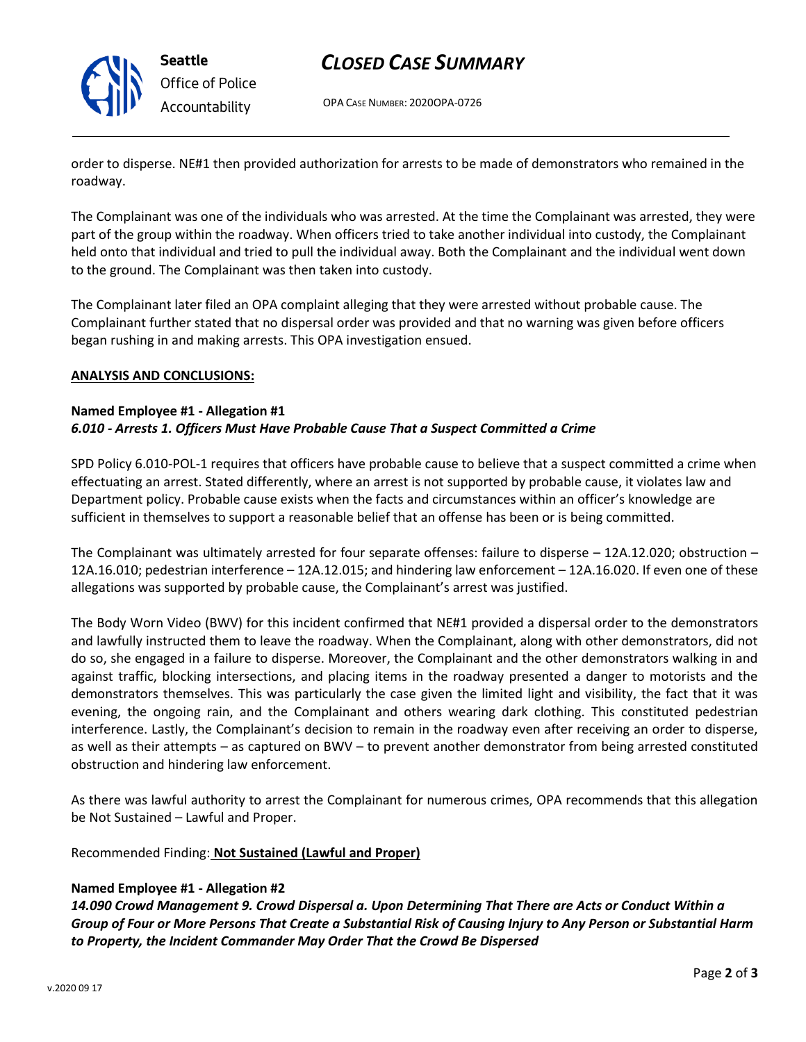

## *CLOSED CASE SUMMARY*

OPA CASE NUMBER: 2020OPA-0726

order to disperse. NE#1 then provided authorization for arrests to be made of demonstrators who remained in the roadway.

The Complainant was one of the individuals who was arrested. At the time the Complainant was arrested, they were part of the group within the roadway. When officers tried to take another individual into custody, the Complainant held onto that individual and tried to pull the individual away. Both the Complainant and the individual went down to the ground. The Complainant was then taken into custody.

The Complainant later filed an OPA complaint alleging that they were arrested without probable cause. The Complainant further stated that no dispersal order was provided and that no warning was given before officers began rushing in and making arrests. This OPA investigation ensued.

### **ANALYSIS AND CONCLUSIONS:**

#### **Named Employee #1 - Allegation #1** *6.010 - Arrests 1. Officers Must Have Probable Cause That a Suspect Committed a Crime*

SPD Policy 6.010-POL-1 requires that officers have probable cause to believe that a suspect committed a crime when effectuating an arrest. Stated differently, where an arrest is not supported by probable cause, it violates law and Department policy. Probable cause exists when the facts and circumstances within an officer's knowledge are sufficient in themselves to support a reasonable belief that an offense has been or is being committed.

The Complainant was ultimately arrested for four separate offenses: failure to disperse – 12A.12.020; obstruction – 12A.16.010; pedestrian interference – 12A.12.015; and hindering law enforcement – 12A.16.020. If even one of these allegations was supported by probable cause, the Complainant's arrest was justified.

The Body Worn Video (BWV) for this incident confirmed that NE#1 provided a dispersal order to the demonstrators and lawfully instructed them to leave the roadway. When the Complainant, along with other demonstrators, did not do so, she engaged in a failure to disperse. Moreover, the Complainant and the other demonstrators walking in and against traffic, blocking intersections, and placing items in the roadway presented a danger to motorists and the demonstrators themselves. This was particularly the case given the limited light and visibility, the fact that it was evening, the ongoing rain, and the Complainant and others wearing dark clothing. This constituted pedestrian interference. Lastly, the Complainant's decision to remain in the roadway even after receiving an order to disperse, as well as their attempts – as captured on BWV – to prevent another demonstrator from being arrested constituted obstruction and hindering law enforcement.

As there was lawful authority to arrest the Complainant for numerous crimes, OPA recommends that this allegation be Not Sustained – Lawful and Proper.

Recommended Finding: **Not Sustained (Lawful and Proper)**

### **Named Employee #1 - Allegation #2**

*14.090 Crowd Management 9. Crowd Dispersal a. Upon Determining That There are Acts or Conduct Within a Group of Four or More Persons That Create a Substantial Risk of Causing Injury to Any Person or Substantial Harm to Property, the Incident Commander May Order That the Crowd Be Dispersed*